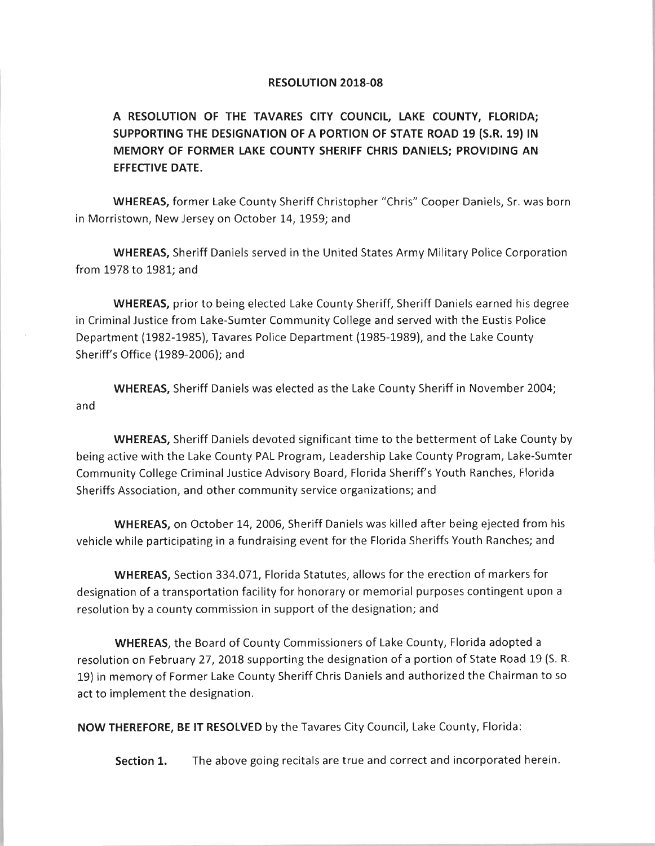## *RESOLUTION 2018-08*

*A RESOLUTION OF THE TAVARES CITY COUNCIL, LAKE COUNTY, FLORIDA; SUPPORTING THE DESIGNATION OF A PORTION OF STATE ROAD 19 (S.R. 19) IN MEMORY OF FORMER LAKE COUNTY SHERIFF CHRIS DANIELS; PROVIDING AN EFFECTIVE DATE.*

*WHEREAS,* former Lake County Sheriff Christopher "Chris" Cooper Daniels, Sr. was born in Morristown, New Jersey on October 14,1959; and

*WHEREAS,* Sheriff Daniels served in the United States Army Military Police Corporation from 1978 to 1981; and

*WHEREAS,* prior to being elected Lake County Sheriff, Sheriff Daniels earned his degree in Criminal Justice from Lake-Sumter Community College and served with the Eustis Police Department (1982-1985), Tavares Police Department (1985-1989), and the Lake County Sheriff's Office (1989-2006); and

*WHEREAS,* Sheriff Daniels was elected as the Lake County Sheriff in November 2004; and

*WHEREAS,* Sheriff Daniels devoted significant time to the betterment of Lake County by being active with the Lake County PAL Program, Leadership Lake County Program, Lake-Sumter Community College Criminal Justice Advisory Board, Florida Sheriff's Youth Ranches, Florida Sheriffs Association, and other community service organizations; and

WHEREAS, on October 14, 2006, Sheriff Daniels was killed after being ejected from his vehicle while participating in a fundraising event for the Florida Sheriffs Youth Ranches; and

*WHEREAS,* Section 334.071, Florida Statutes, allows for the erection of markers for designation of a transportation facility for honorary or memorial purposes contingent upon a resolution by a county commission in support of the designation; and

*WHEREAS,* the Board of County Commissioners of Lake County, Florida adopted a resolution on February 27, 2018 supporting the designation of a portion of State Road 19 (S. R. 19) in memory of Former Lake County Sheriff Chris Daniels and authorized the Chairman to so act to implement the designation.

*NOW THEREFORE, BE IT RESOLVED* by the Tavares City Council, Lake County, Florida:

Section 1. The above going recitals are true and correct and incorporated herein.